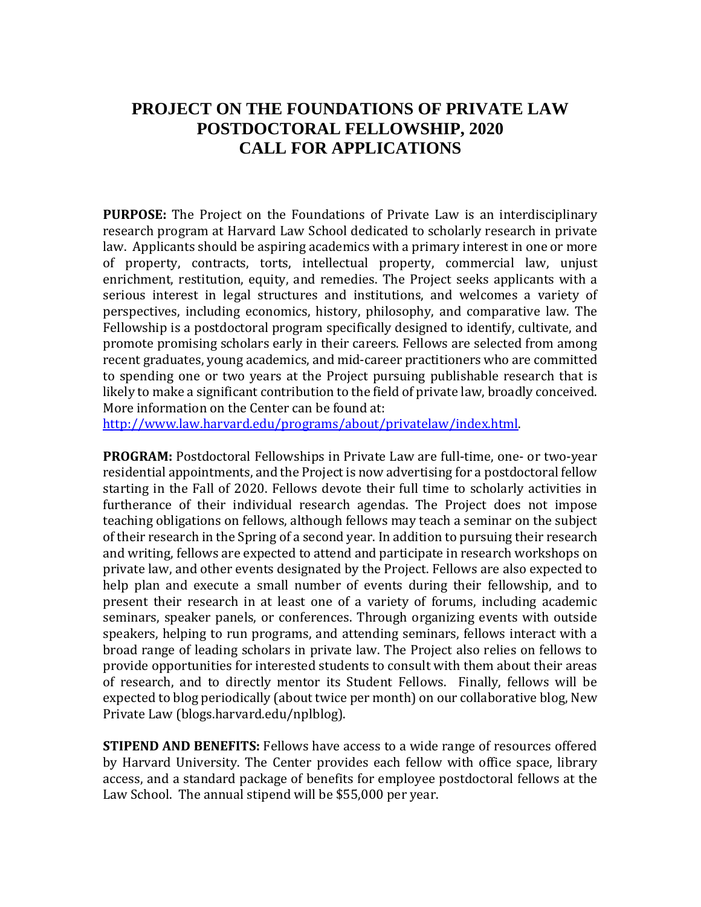## **PROJECT ON THE FOUNDATIONS OF PRIVATE LAW POSTDOCTORAL FELLOWSHIP, 2020 CALL FOR APPLICATIONS**

**PURPOSE:** The Project on the Foundations of Private Law is an interdisciplinary research program at Harvard Law School dedicated to scholarly research in private law. Applicants should be aspiring academics with a primary interest in one or more of property, contracts, torts, intellectual property, commercial law, unjust enrichment, restitution, equity, and remedies. The Project seeks applicants with a serious interest in legal structures and institutions, and welcomes a variety of perspectives, including economics, history, philosophy, and comparative law. The Fellowship is a postdoctoral program specifically designed to identify, cultivate, and promote promising scholars early in their careers. Fellows are selected from among recent graduates, young academics, and mid-career practitioners who are committed to spending one or two years at the Project pursuing publishable research that is likely to make a significant contribution to the field of private law, broadly conceived. More information on the Center can be found at:

[http://www.law.harvard.edu/programs/about/privatelaw/index.html.](http://www.law.harvard.edu/programs/about/privatelaw/index.html)

**PROGRAM:** Postdoctoral Fellowships in Private Law are full-time, one- or two-year residential appointments, and the Project is now advertising for a postdoctoral fellow starting in the Fall of 2020. Fellows devote their full time to scholarly activities in furtherance of their individual research agendas. The Project does not impose teaching obligations on fellows, although fellows may teach a seminar on the subject of their research in the Spring of a second year. In addition to pursuing their research and writing, fellows are expected to attend and participate in research workshops on private law, and other events designated by the Project. Fellows are also expected to help plan and execute a small number of events during their fellowship, and to present their research in at least one of a variety of forums, including academic seminars, speaker panels, or conferences. Through organizing events with outside speakers, helping to run programs, and attending seminars, fellows interact with a broad range of leading scholars in private law. The Project also relies on fellows to provide opportunities for interested students to consult with them about their areas of research, and to directly mentor its Student Fellows. Finally, fellows will be expected to blog periodically (about twice per month) on our collaborative blog, New Private Law (blogs.harvard.edu/nplblog).

**STIPEND AND BENEFITS:** Fellows have access to a wide range of resources offered by Harvard University. The Center provides each fellow with office space, library access, and a standard package of benefits for employee postdoctoral fellows at the Law School. The annual stipend will be \$55,000 per year.